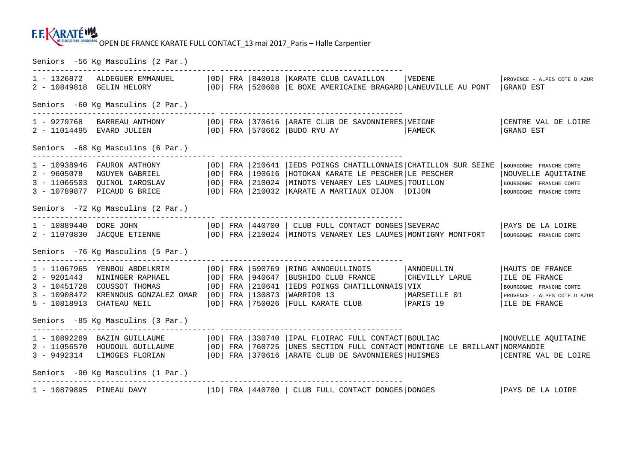## OPEN DE FRANCE KARATE FULL CONTACT\_13 mai 2017\_Paris – Halle Carpentier

Seniors -56 Kg Masculins (2 Par.)

| 1 - 1326872 ALDEGUER EMMANUEL<br>2 - 10849818 GELIN HELORY                                                                                                                                                                      |  |  |  | -------------------------<br>  OD   FRA   840018   KARATE CLUB CAVAILLON<br>  OD  FRA   520608   E BOXE AMERICAINE BRAGARD   LANEUVILLE AU PONT   GRAND EST                                          | VEDENE                                                          | PROVENCE - ALPES COTE D AZUR                                                                                 |  |  |  |  |
|---------------------------------------------------------------------------------------------------------------------------------------------------------------------------------------------------------------------------------|--|--|--|------------------------------------------------------------------------------------------------------------------------------------------------------------------------------------------------------|-----------------------------------------------------------------|--------------------------------------------------------------------------------------------------------------|--|--|--|--|
| Seniors -60 Kq Masculins (2 Par.)                                                                                                                                                                                               |  |  |  |                                                                                                                                                                                                      |                                                                 |                                                                                                              |  |  |  |  |
|                                                                                                                                                                                                                                 |  |  |  | OD   FRA   570662   BUDO RYU AY                                                                                                                                                                      |                                                                 | CENTRE VAL DE LOIRE<br>GRAND EST                                                                             |  |  |  |  |
| Seniors -68 Kg Masculins (6 Par.)                                                                                                                                                                                               |  |  |  |                                                                                                                                                                                                      |                                                                 |                                                                                                              |  |  |  |  |
| 1 - 10938946 FAURON ANTHONY   0D   FRA   210641   IEDS POINGS CHATILLONNAIS   CHATILLON SUR SEINE   BOURGOGNE FRANCHE COMTE<br>2 - 9605078 NGUYEN GABRIEL<br>3 - 11066503 QUINOL IAROSLAV<br>3 - 10789877 PICAUD G BRICE        |  |  |  | OD   FRA   190616   HOTOKAN KARATE LE PESCHER   LE PESCHER<br>  OD   FRA   210024   MINOTS VENAREY LES LAUMES   TOUILLON<br>  OD   FRA   210032   KARATE A MARTIAUX DIJON   DIJON                    |                                                                 | NOUVELLE AQUITAINE<br>BOURGOGNE FRANCHE COMTE<br>BOURGOGNE FRANCHE COMTE                                     |  |  |  |  |
| Seniors -72 Kg Masculins (2 Par.)                                                                                                                                                                                               |  |  |  |                                                                                                                                                                                                      |                                                                 |                                                                                                              |  |  |  |  |
| 1 - 10889440 DORE JOHN   0D   FRA   440700   CLUB FULL CONTACT DONGES   SEVERAC   PAYS DE LA LOIRE<br>2 - 11070830 JACQUE ETIENNE   OD   FRA   210024   MINOTS VENAREY LES LAUMES   MONTIGNY MONTFORT   BOURGOGNE FRANCHE COMTE |  |  |  |                                                                                                                                                                                                      |                                                                 |                                                                                                              |  |  |  |  |
| Seniors -76 Kg Masculins (5 Par.)                                                                                                                                                                                               |  |  |  |                                                                                                                                                                                                      |                                                                 |                                                                                                              |  |  |  |  |
| 1 - 11067965 YENBOU ABDELKRIM<br>2 - 9201443 NININGER RAPHAEL<br>3 - 10451728 COUSSOT THOMAS<br>3 - 10908472 KRENNOUS GONZALEZ OMAR<br>5 - 10818913 CHATEAU NEIL                                                                |  |  |  | OD FRA 590769 RING ANNOEULLINOIS<br>OD FRA 940647 BUSHIDO CLUB FRANCE<br>  OD   FRA   210641   IEDS POINGS CHATILLONNAIS   VIX<br>  OD   FRA   130873   WARRIOR 13<br>OD FRA 750026 FULL KARATE CLUB | <b>ANNOEULLIN</b><br>CHEVILLY LARUE<br>MARSEILLE 01<br>PARIS 19 | HAUTS DE FRANCE<br>ILE DE FRANCE<br>BOURGOGNE FRANCHE COMTE<br>PROVENCE - ALPES COTE D AZUR<br>ILE DE FRANCE |  |  |  |  |
| Seniors -85 Kg Masculins (3 Par.)                                                                                                                                                                                               |  |  |  |                                                                                                                                                                                                      |                                                                 |                                                                                                              |  |  |  |  |
| 1 - 10892289 BAZIN GUILLAUME<br>2 - 11056570 HOUDOUL GUILLAUME<br>3 - 9492314 LIMOGES FLORIAN   OD   FRA   370616   ARATE CLUB DE SAVONNIERES   HUISMES                                                                         |  |  |  | OD   FRA   330740   IPAL FLOIRAC FULL CONTACT   BOULIAC<br>  0D  FRA   760725   UNES SECTION FULL CONTACT   MONTIGNE LE BRILLANT   NORMANDIE                                                         |                                                                 | NOUVELLE AQUITAINE<br>CENTRE VAL DE LOIRE                                                                    |  |  |  |  |
| Seniors -90 Kg Masculins (1 Par.)                                                                                                                                                                                               |  |  |  |                                                                                                                                                                                                      |                                                                 |                                                                                                              |  |  |  |  |
|                                                                                                                                                                                                                                 |  |  |  |                                                                                                                                                                                                      |                                                                 |                                                                                                              |  |  |  |  |